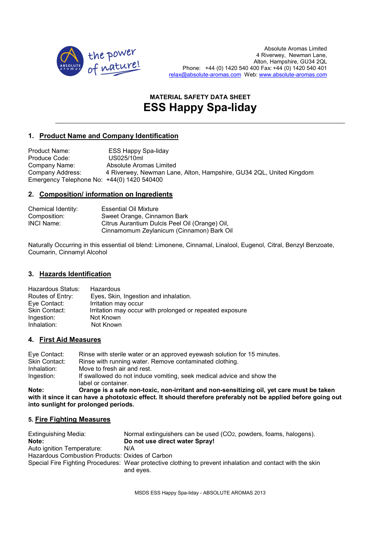

# **MATERIAL SAFETY DATA SHEET ESS Happy Spa-liday**

# **1. Product Name and Company Identification**

Product Name: ESS Happy Spa-liday Produce Code: US025/10ml Company Name: Absolute Aromas Limited Company Address: 4 Riverwey, Newman Lane, Alton, Hampshire, GU34 2QL, United Kingdom Emergency Telephone No: +44(0) 1420 540400

# **2. Composition/ information on Ingredients**

| Chemical Identity: | <b>Essential Oil Mixture</b>                   |
|--------------------|------------------------------------------------|
| Composition:       | Sweet Orange, Cinnamon Bark                    |
| <b>INCI Name:</b>  | Citrus Aurantium Dulcis Peel Oil (Orange) Oil, |
|                    | Cinnamomum Zeylanicum (Cinnamon) Bark Oil      |

Naturally Occurring in this essential oil blend: Limonene, Cinnamal, Linalool, Eugenol, Citral, Benzyl Benzoate, Coumarin, Cinnamyl Alcohol

# **3. Hazards Identification**

| Hazardous                                                |
|----------------------------------------------------------|
| Eyes, Skin, Ingestion and inhalation.                    |
| Irritation may occur                                     |
| Irritation may occur with prolonged or repeated exposure |
| Not Known                                                |
| Not Known                                                |
|                                                          |

## **4. First Aid Measures**

| Eye Contact:<br>Skin Contact: | Rinse with sterile water or an approved eyewash solution for 15 minutes.<br>Rinse with running water. Remove contaminated clothing. |
|-------------------------------|-------------------------------------------------------------------------------------------------------------------------------------|
| Inhalation:                   | Move to fresh air and rest.                                                                                                         |
| Ingestion:                    | If swallowed do not induce vomiting, seek medical advice and show the                                                               |
| 11.4.7                        | label or container.<br>Annual to a cafe new feeds were thilfenforced men consettling off and comparent by                           |

**Note: Orange is a safe non-toxic, non-irritant and non-sensitizing oil, yet care must be taken with it since it can have a phototoxic effect. It should therefore preferably not be applied before going out into sunlight for prolonged periods.** 

# **5. Fire Fighting Measures**

| Extinguishing Media:                            | Normal extinguishers can be used (CO2, powders, foams, halogens).                                                       |
|-------------------------------------------------|-------------------------------------------------------------------------------------------------------------------------|
| Note:                                           | Do not use direct water Spray!                                                                                          |
| Auto ignition Temperature:                      | N/A                                                                                                                     |
| Hazardous Combustion Products: Oxides of Carbon |                                                                                                                         |
|                                                 | Special Fire Fighting Procedures: Wear protective clothing to prevent inhalation and contact with the skin<br>and eyes. |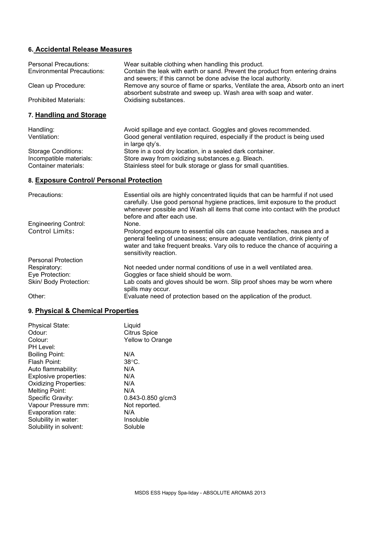# **6. Accidental Release Measures**

| <b>Personal Precautions:</b><br><b>Environmental Precautions:</b> | Wear suitable clothing when handling this product.<br>Contain the leak with earth or sand. Prevent the product from entering drains<br>and sewers; if this cannot be done advise the local authority.                                                                         |
|-------------------------------------------------------------------|-------------------------------------------------------------------------------------------------------------------------------------------------------------------------------------------------------------------------------------------------------------------------------|
| Clean up Procedure:                                               | Remove any source of flame or sparks, Ventilate the area, Absorb onto an inert<br>absorbent substrate and sweep up. Wash area with soap and water.                                                                                                                            |
| <b>Prohibited Materials:</b>                                      | Oxidising substances.                                                                                                                                                                                                                                                         |
| 7. Handling and Storage                                           |                                                                                                                                                                                                                                                                               |
| Handling:<br>Ventilation:                                         | Avoid spillage and eye contact. Goggles and gloves recommended.<br>Good general ventilation required, especially if the product is being used<br>in large qty's.                                                                                                              |
| <b>Storage Conditions:</b>                                        | Store in a cool dry location, in a sealed dark container.                                                                                                                                                                                                                     |
| Incompatible materials:                                           | Store away from oxidizing substances.e.g. Bleach.                                                                                                                                                                                                                             |
| Container materials:                                              | Stainless steel for bulk storage or glass for small quantities.                                                                                                                                                                                                               |
| 8. Exposure Control/ Personal Protection                          |                                                                                                                                                                                                                                                                               |
| Precautions:                                                      | Essential oils are highly concentrated liquids that can be harmful if not used<br>carefully. Use good personal hygiene practices, limit exposure to the product<br>whenever possible and Wash all items that come into contact with the product<br>before and after each use. |
| <b>Engineering Control:</b>                                       | None.                                                                                                                                                                                                                                                                         |
| Control Limits:                                                   | Prolonged exposure to essential oils can cause headaches, nausea and a<br>general feeling of uneasiness; ensure adequate ventilation, drink plenty of<br>water and take frequent breaks. Vary oils to reduce the chance of acquiring a<br>sensitivity reaction.               |
| <b>Personal Protection</b>                                        |                                                                                                                                                                                                                                                                               |
| Respiratory:                                                      | Not needed under normal conditions of use in a well ventilated area.                                                                                                                                                                                                          |
| Eye Protection:                                                   | Goggles or face shield should be worn.                                                                                                                                                                                                                                        |
| Skin/ Body Protection:                                            | Lab coats and gloves should be worn. Slip proof shoes may be worn where<br>spills may occur.                                                                                                                                                                                  |
| Other:                                                            | Evaluate need of protection based on the application of the product.                                                                                                                                                                                                          |

# **9. Physical & Chemical Properties**

| Liquid                  |
|-------------------------|
| <b>Citrus Spice</b>     |
| <b>Yellow to Orange</b> |
|                         |
| N/A                     |
| $38^{\circ}$ C.         |
| N/A                     |
| N/A                     |
| N/A                     |
| N/A                     |
| $0.843 - 0.850$ g/cm3   |
| Not reported.           |
| N/A                     |
| Insoluble               |
| Soluble                 |
|                         |